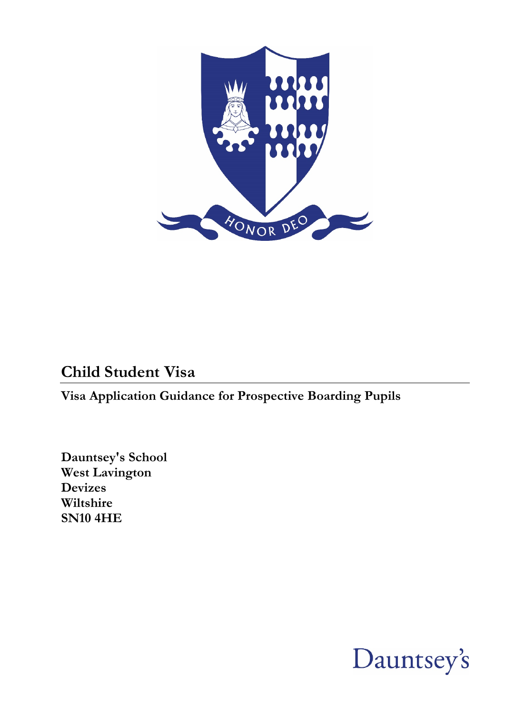

# **Child Student Visa**

**Visa Application Guidance for Prospective Boarding Pupils**

**Dauntsey's School West Lavington Devizes Wiltshire SN10 4HE**

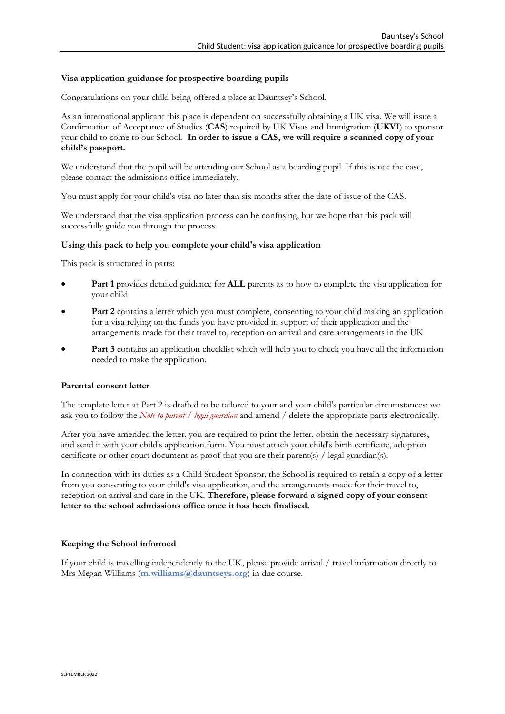#### **Visa application guidance for prospective boarding pupils**

Congratulations on your child being offered a place at Dauntsey's School.

As an international applicant this place is dependent on successfully obtaining a UK visa. We will issue a Confirmation of Acceptance of Studies (**CAS**) required by UK Visas and Immigration (**UKVI**) to sponsor your child to come to our School. **In order to issue a CAS, we will require a scanned copy of your child's passport.**

We understand that the pupil will be attending our School as a boarding pupil. If this is not the case, please contact the admissions office immediately.

You must apply for your child's visa no later than six months after the date of issue of the CAS.

We understand that the visa application process can be confusing, but we hope that this pack will successfully guide you through the process.

#### **Using this pack to help you complete your child's visa application**

This pack is structured in parts:

- **Part 1** provides detailed guidance for **ALL** parents as to how to complete the visa application for your child
- **Part 2** contains a letter which you must complete, consenting to your child making an application for a visa relying on the funds you have provided in support of their application and the arrangements made for their travel to, reception on arrival and care arrangements in the UK
- **Part 3** contains an application checklist which will help you to check you have all the information needed to make the application.

#### **Parental consent letter**

The template letter at Part 2 is drafted to be tailored to your and your child's particular circumstances: we ask you to follow the *Note to parent / legal guardian* and amend / delete the appropriate parts electronically.

After you have amended the letter, you are required to print the letter, obtain the necessary signatures, and send it with your child's application form. You must attach your child's birth certificate, adoption certificate or other court document as proof that you are their parent(s) / legal guardian(s).

In connection with its duties as a Child Student Sponsor, the School is required to retain a copy of a letter from you consenting to your child's visa application, and the arrangements made for their travel to, reception on arrival and care in the UK. **Therefore, please forward a signed copy of your consent letter to the school admissions office once it has been finalised.**

#### **Keeping the School informed**

If your child is travelling independently to the UK, please provide arrival / travel information directly to Mrs Megan Williams (**[m.williams@dauntseys.org](mailto:m.williams@dauntseys.org)**) in due course.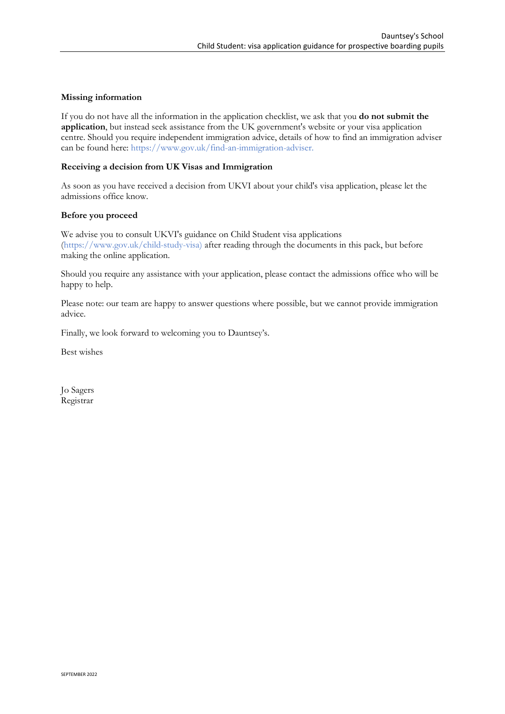#### **Missing information**

If you do not have all the information in the application checklist, we ask that you **do not submit the application**, but instead seek assistance from the UK government's website or your visa application centre. Should you require independent immigration advice, details of how to find an immigration adviser can be found here: [https://www.gov.uk/find-an-immigration-adviser.](https://www.gov.uk/find-an-immigration-adviser)

#### **Receiving a decision from UK Visas and Immigration**

As soon as you have received a decision from UKVI about your child's visa application, please let the admissions office know.

#### **Before you proceed**

We advise you to consult UKVI's guidance on Child Student visa applications [\(https://www.gov.uk/child-study-visa\)](https://www.gov.uk/child-study-visa) after reading through the documents in this pack, but before making the online application.

Should you require any assistance with your application, please contact the admissions office who will be happy to help.

Please note: our team are happy to answer questions where possible, but we cannot provide immigration advice.

Finally, we look forward to welcoming you to Dauntsey's.

Best wishes

Jo Sagers Registrar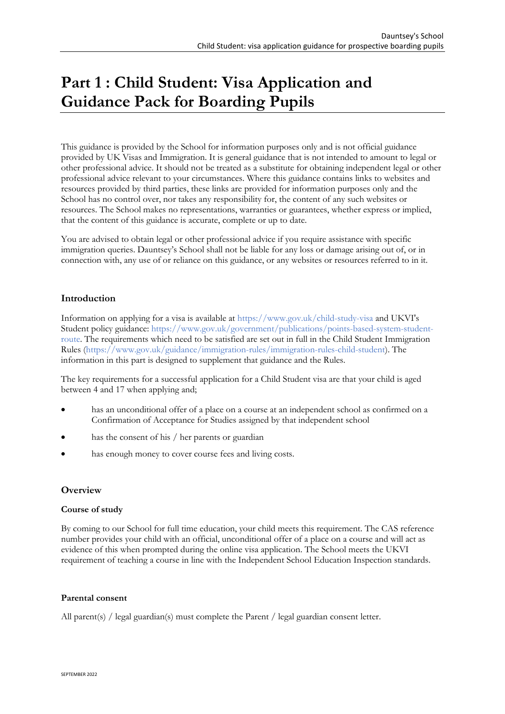# **Part 1 : Child Student: Visa Application and Guidance Pack for Boarding Pupils**

This guidance is provided by the School for information purposes only and is not official guidance provided by UK Visas and Immigration. It is general guidance that is not intended to amount to legal or other professional advice. It should not be treated as a substitute for obtaining independent legal or other professional advice relevant to your circumstances. Where this guidance contains links to websites and resources provided by third parties, these links are provided for information purposes only and the School has no control over, nor takes any responsibility for, the content of any such websites or resources. The School makes no representations, warranties or guarantees, whether express or implied, that the content of this guidance is accurate, complete or up to date.

You are advised to obtain legal or other professional advice if you require assistance with specific immigration queries. Dauntsey's School shall not be liable for any loss or damage arising out of, or in connection with, any use of or reliance on this guidance, or any websites or resources referred to in it.

### **Introduction**

Information on applying for a visa is available at<https://www.gov.uk/child-study-visa> and UKVI's Student policy guidance: [https://www.gov.uk/government/publications/points-based-system-student](https://www.gov.uk/government/publications/points-based-system-student-route)[route.](https://www.gov.uk/government/publications/points-based-system-student-route) The requirements which need to be satisfied are set out in full in the Child Student Immigration Rules [\(https://www.gov.uk/guidance/immigration-rules/immigration-rules-child-student\)](https://www.gov.uk/guidance/immigration-rules/immigration-rules-child-student). The information in this part is designed to supplement that guidance and the Rules.

The key requirements for a successful application for a Child Student visa are that your child is aged between 4 and 17 when applying and;

- has an unconditional offer of a place on a course at an independent school as confirmed on a Confirmation of Acceptance for Studies assigned by that independent school
- has the consent of his / her parents or guardian
- has enough money to cover course fees and living costs.

### **Overview**

#### **Course of study**

By coming to our School for full time education, your child meets this requirement. The CAS reference number provides your child with an official, unconditional offer of a place on a course and will act as evidence of this when prompted during the online visa application. The School meets the UKVI requirement of teaching a course in line with the Independent School Education Inspection standards.

#### **Parental consent**

All parent(s) / legal guardian(s) must complete the Parent / legal guardian consent letter.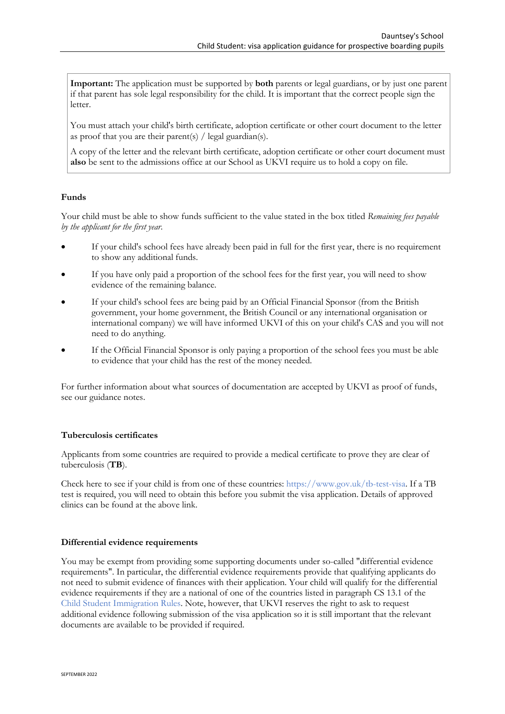**Important:** The application must be supported by **both** parents or legal guardians, or by just one parent if that parent has sole legal responsibility for the child. It is important that the correct people sign the letter.

You must attach your child's birth certificate, adoption certificate or other court document to the letter as proof that you are their parent(s) / legal guardian(s).

A copy of the letter and the relevant birth certificate, adoption certificate or other court document must **also** be sent to the admissions office at our School as UKVI require us to hold a copy on file.

#### **Funds**

Your child must be able to show funds sufficient to the value stated in the box titled *Remaining fees payable by the applicant for the first year*.

- If your child's school fees have already been paid in full for the first year, there is no requirement to show any additional funds.
- If you have only paid a proportion of the school fees for the first year, you will need to show evidence of the remaining balance.
- If your child's school fees are being paid by an Official Financial Sponsor (from the British government, your home government, the British Council or any international organisation or international company) we will have informed UKVI of this on your child's CAS and you will not need to do anything.
- If the Official Financial Sponsor is only paying a proportion of the school fees you must be able to evidence that your child has the rest of the money needed.

For further information about what sources of documentation are accepted by UKVI as proof of funds, see [our guidance notes](#page-9-0).

#### **Tuberculosis certificates**

Applicants from some countries are required to provide a medical certificate to prove they are clear of tuberculosis (**TB**).

Check here to see if your child is from one of these countries: [https://www.gov.uk/tb-test-visa.](https://www.gov.uk/tb-test-visa) If a TB test is required, you will need to obtain this before you submit the visa application. Details of approved clinics can be found at the above link.

#### **Differential evidence requirements**

You may be exempt from providing some supporting documents under so-called "differential evidence requirements". In particular, the differential evidence requirements provide that qualifying applicants do not need to submit evidence of finances with their application. Your child will qualify for the differential evidence requirements if they are a national of one of the countries listed in paragraph CS 13.1 of the [Child Student Immigration Rules.](https://www.gov.uk/guidance/immigration-rules/immigration-rules-child-student) Note, however, that UKVI reserves the right to ask to request additional evidence following submission of the visa application so it is still important that the relevant documents are available to be provided if required.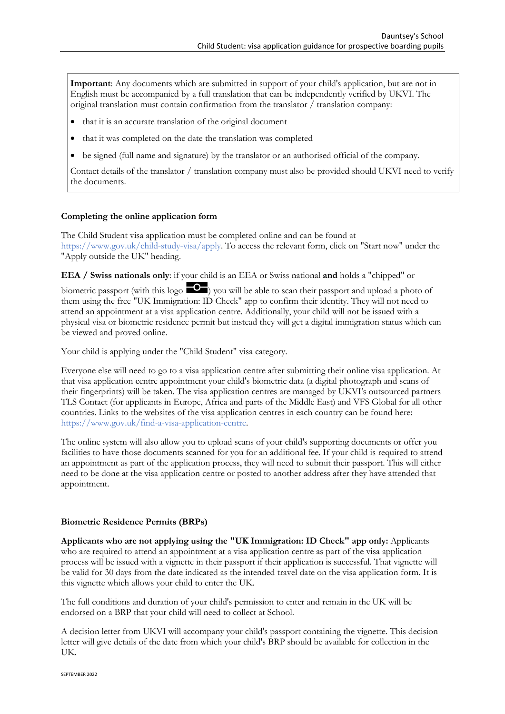**Important**: Any documents which are submitted in support of your child's application, but are not in English must be accompanied by a full translation that can be independently verified by UKVI. The original translation must contain confirmation from the translator / translation company:

- that it is an accurate translation of the original document
- that it was completed on the date the translation was completed
- be signed (full name and signature) by the translator or an authorised official of the company.

Contact details of the translator / translation company must also be provided should UKVI need to verify the documents.

#### **Completing the online application form**

The Child Student visa application must be completed online and can be found at [https://www.gov.uk/child-study-visa/apply.](https://www.gov.uk/child-study-visa/apply) To access the relevant form, click on "Start now" under the "Apply outside the UK" heading.

**EEA / Swiss nationals only**: if your child is an EEA or Swiss national **and** holds a "chipped" or

biometric passport (with this logo  $\Box$ ) you will be able to scan their passport and upload a photo of them using the free "UK Immigration: ID Check" app to confirm their identity. They will not need to attend an appointment at a visa application centre. Additionally, your child will not be issued with a physical visa or biometric residence permit but instead they will get a digital immigration status which can be viewed and proved online.

Your child is applying under the "Child Student" visa category.

Everyone else will need to go to a visa application centre after submitting their online visa application. At that visa application centre appointment your child's biometric data (a digital photograph and scans of their fingerprints) will be taken. The visa application centres are managed by UKVI's outsourced partners TLS Contact (for applicants in Europe, Africa and parts of the Middle East) and VFS Global for all other countries. Links to the websites of the visa application centres in each country can be found here: [https://www.gov.uk/find-a-visa-application-centre.](https://www.gov.uk/find-a-visa-application-centre)

The online system will also allow you to upload scans of your child's supporting documents or offer you facilities to have those documents scanned for you for an additional fee. If your child is required to attend an appointment as part of the application process, they will need to submit their passport. This will either need to be done at the visa application centre or posted to another address after they have attended that appointment.

#### **Biometric Residence Permits (BRPs)**

**Applicants who are not applying using the "UK Immigration: ID Check" app only:** Applicants who are required to attend an appointment at a visa application centre as part of the visa application process will be issued with a vignette in their passport if their application is successful. That vignette will be valid for 30 days from the date indicated as the intended travel date on the visa application form. It is this vignette which allows your child to enter the UK.

The full conditions and duration of your child's permission to enter and remain in the UK will be endorsed on a BRP that your child will need to collect at School.

A decision letter from UKVI will accompany your child's passport containing the vignette. This decision letter will give details of the date from which your child's BRP should be available for collection in the UK.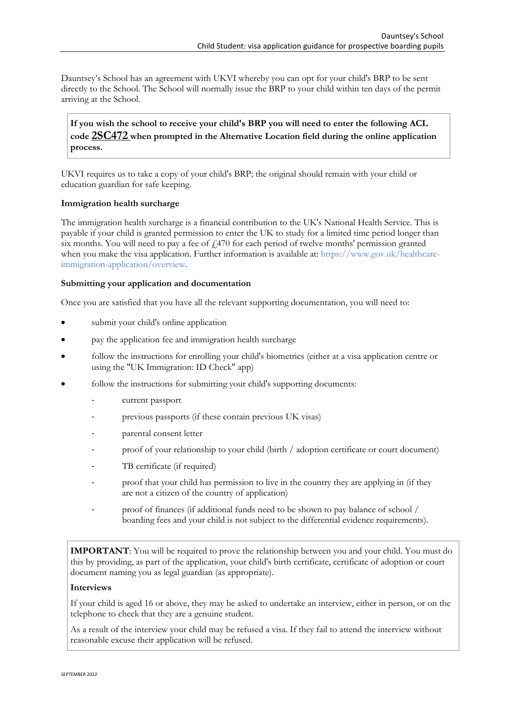Dauntsey's School has an agreement with UKVI whereby you can opt for your child's BRP to be sent directly to the School. The School will normally issue the BRP to your child within ten days of the permit arriving at the School.

**If you wish the school to receive your child's BRP you will need to enter the following ACL code 2SC472 when prompted in the Alternative Location field during the online application process.**

UKVI requires us to take a copy of your child's BRP; the original should remain with your child or education guardian for safe keeping.

#### **Immigration health surcharge**

The immigration health surcharge is a financial contribution to the UK's National Health Service. This is payable if your child is granted permission to enter the UK to study for a limited time period longer than six months. You will need to pay a fee of  $\frac{1}{470}$  for each period of twelve months' permission granted when you make the visa application. Further information is available at: [https://www.gov.uk/healthcare](https://www.gov.uk/healthcare-immigration-application/overview)[immigration-application/overview.](https://www.gov.uk/healthcare-immigration-application/overview)

#### **Submitting your application and documentation**

Once you are satisfied that you have all the relevant supporting documentation, you will need to:

- submit your child's online application
- pay the application fee and immigration health surcharge
- follow the instructions for enrolling your child's biometrics (either at a visa application centre or using the "UK Immigration: ID Check" app)
- follow the instructions for submitting your child's supporting documents:
	- current passport
	- previous passports (if these contain previous UK visas)
	- parental consent letter
	- proof of your relationship to your child (birth / adoption certificate or court document)
	- TB certificate (if required)
	- proof that your child has permission to live in the country they are applying in (if they are not a citizen of the country of application)
	- proof of finances (if additional funds need to be shown to pay balance of school / boarding fees and your child is not subject to the differential evidence requirements).

**IMPORTANT**: You will be required to prove the relationship between you and your child. You must do this by providing, as part of the application, your child's birth certificate, certificate of adoption or court document naming you as legal guardian (as appropriate).

#### **Interviews**

If your child is aged 16 or above, they may be asked to undertake an interview, either in person, or on the telephone to check that they are a genuine student.

As a result of the interview your child may be refused a visa. If they fail to attend the interview without reasonable excuse their application will be refused.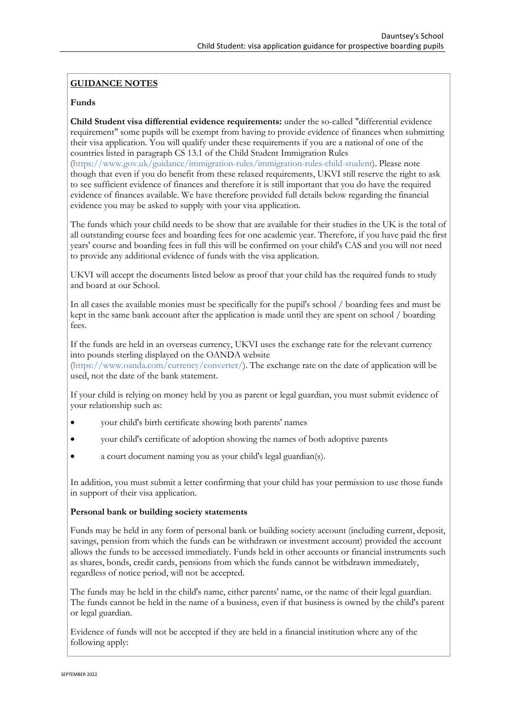### **GUIDANCE NOTES**

#### **Funds**

**Child Student visa differential evidence requirements:** under the so-called "differential evidence requirement" some pupils will be exempt from having to provide evidence of finances when submitting their visa application. You will qualify under these requirements if you are a national of one of the countries listed in paragraph CS 13.1 of the Child Student Immigration Rules [\(https://www.gov.uk/guidance/immigration-rules/immigration-rules-child-student\)](https://www.gov.uk/guidance/immigration-rules/immigration-rules-child-student). Please note though that even if you do benefit from these relaxed requirements, UKVI still reserve the right to ask to see sufficient evidence of finances and therefore it is still important that you do have the required evidence of finances available. We have therefore provided full details below regarding the financial evidence you may be asked to supply with your visa application.

The funds which your child needs to be show that are available for their studies in the UK is the total of all outstanding course fees and boarding fees for one academic year. Therefore, if you have paid the first years' course and boarding fees in full this will be confirmed on your child's CAS and you will not need to provide any additional evidence of funds with the visa application.

UKVI will accept the documents listed below as proof that your child has the required funds to study and board at our School.

In all cases the available monies must be specifically for the pupil's school / boarding fees and must be kept in the same bank account after the application is made until they are spent on school / boarding fees.

If the funds are held in an overseas currency, UKVI uses the exchange rate for the relevant currency into pounds sterling displayed on the OANDA website

[\(https://www.oanda.com/currency/converter/\)](https://www.oanda.com/currency/converter/). The exchange rate on the date of application will be used, not the date of the bank statement.

If your child is relying on money held by you as parent or legal guardian, you must submit evidence of your relationship such as:

- your child's birth certificate showing both parents' names
- your child's certificate of adoption showing the names of both adoptive parents
- a court document naming you as your child's legal guardian(s).

In addition, you must submit a letter confirming that your child has your permission to use those funds in support of their visa application.

#### **Personal bank or building society statements**

Funds may be held in any form of personal bank or building society account (including current, deposit, savings, pension from which the funds can be withdrawn or investment account) provided the account allows the funds to be accessed immediately. Funds held in other accounts or financial instruments such as shares, bonds, credit cards, pensions from which the funds cannot be withdrawn immediately, regardless of notice period, will not be accepted.

The funds may be held in the child's name, either parents' name, or the name of their legal guardian. The funds cannot be held in the name of a business, even if that business is owned by the child's parent or legal guardian.

Evidence of funds will not be accepted if they are held in a financial institution where any of the following apply: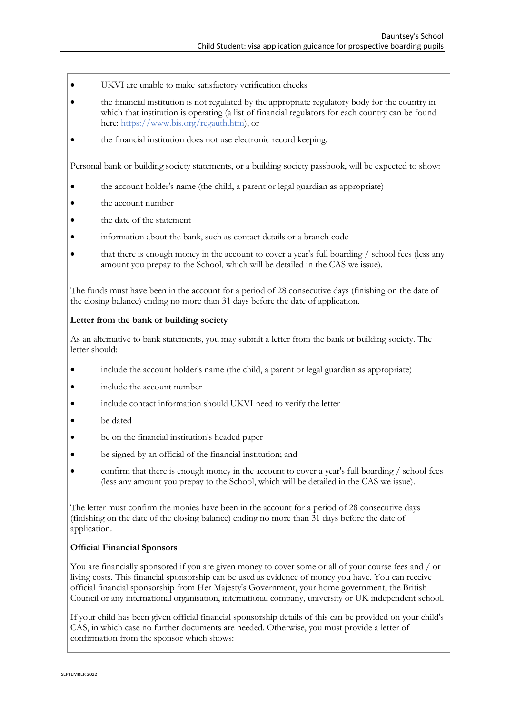- UKVI are unable to make satisfactory verification checks
- the financial institution is not regulated by the appropriate regulatory body for the country in which that institution is operating (a list of financial regulators for each country can be found here: [https://www.bis.org/regauth.htm\)](https://www.bis.org/regauth.htm); or
- the financial institution does not use electronic record keeping.

Personal bank or building society statements, or a building society passbook, will be expected to show:

- the account holder's name (the child, a parent or legal guardian as appropriate)
- the account number
- the date of the statement
- information about the bank, such as contact details or a branch code
- that there is enough money in the account to cover a year's full boarding / school fees (less any amount you prepay to the School, which will be detailed in the CAS we issue).

The funds must have been in the account for a period of 28 consecutive days (finishing on the date of the closing balance) ending no more than 31 days before the date of application.

#### **Letter from the bank or building society**

As an alternative to bank statements, you may submit a letter from the bank or building society. The letter should:

- include the account holder's name (the child, a parent or legal guardian as appropriate)
- include the account number
- include contact information should UKVI need to verify the letter
- be dated
- be on the financial institution's headed paper
- be signed by an official of the financial institution; and
- confirm that there is enough money in the account to cover a year's full boarding / school fees (less any amount you prepay to the School, which will be detailed in the CAS we issue).

The letter must confirm the monies have been in the account for a period of 28 consecutive days (finishing on the date of the closing balance) ending no more than 31 days before the date of application.

#### **Official Financial Sponsors**

You are financially sponsored if you are given money to cover some or all of your course fees and / or living costs. This financial sponsorship can be used as evidence of money you have. You can receive official financial sponsorship from Her Majesty's Government, your home government, the British Council or any international organisation, international company, university or UK independent school.

If your child has been given official financial sponsorship details of this can be provided on your child's CAS, in which case no further documents are needed. Otherwise, you must provide a letter of confirmation from the sponsor which shows: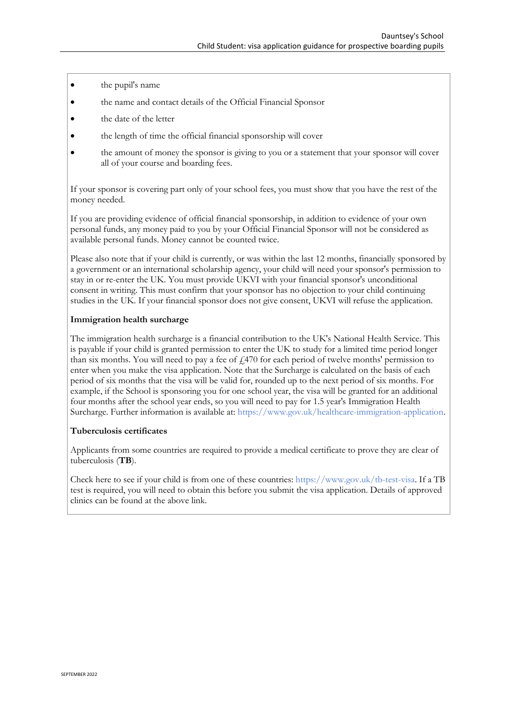- <span id="page-9-0"></span>• the pupil's name
- the name and contact details of the Official Financial Sponsor
- the date of the letter
- the length of time the official financial sponsorship will cover
- the amount of money the sponsor is giving to you or a statement that your sponsor will cover all of your course and boarding fees.

If your sponsor is covering part only of your school fees, you must show that you have the rest of the money needed.

If you are providing evidence of official financial sponsorship, in addition to evidence of your own personal funds, any money paid to you by your Official Financial Sponsor will not be considered as available personal funds. Money cannot be counted twice.

Please also note that if your child is currently, or was within the last 12 months, financially sponsored by a government or an international scholarship agency, your child will need your sponsor's permission to stay in or re-enter the UK. You must provide UKVI with your financial sponsor's unconditional consent in writing. This must confirm that your sponsor has no objection to your child continuing studies in the UK. If your financial sponsor does not give consent, UKVI will refuse the application.

#### **Immigration health surcharge**

The immigration health surcharge is a financial contribution to the UK's National Health Service. This is payable if your child is granted permission to enter the UK to study for a limited time period longer than six months. You will need to pay a fee of  $\frac{1}{470}$  for each period of twelve months' permission to enter when you make the visa application. Note that the Surcharge is calculated on the basis of each period of six months that the visa will be valid for, rounded up to the next period of six months. For example, if the School is sponsoring you for one school year, the visa will be granted for an additional four months after the school year ends, so you will need to pay for 1.5 year's Immigration Health Surcharge. Further information is available at: [https://www.gov.uk/healthcare-immigration-application.](https://www.gov.uk/healthcare-immigration-application)

#### **Tuberculosis certificates**

Applicants from some countries are required to provide a medical certificate to prove they are clear of tuberculosis (**TB**).

Check here to see if your child is from one of these countries: [https://www.gov.uk/tb-test-visa.](https://www.gov.uk/tb-test-visa) If a TB test is required, you will need to obtain this before you submit the visa application. Details of approved clinics can be found at the above link.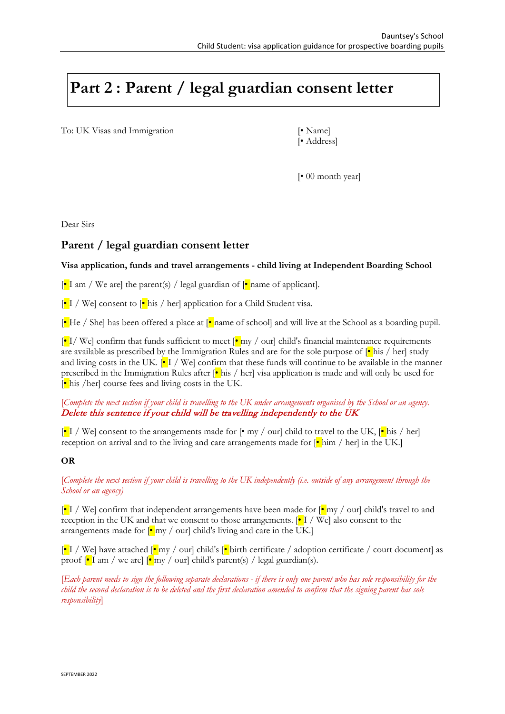# **Part 2 : Parent / legal guardian consent letter**

To: UK Visas and Immigration [• Name]

[• Address]

[• 00 month year]

Dear Sirs

## **Parent / legal guardian consent letter**

#### **Visa application, funds and travel arrangements - child living at Independent Boarding School**

 $\left[\bullet\right]$  am / We are] the parent(s) / legal guardian of  $\left[\bullet\right]$  name of applicant].

 $\left[\bullet\right]$  / We] consent to  $\left[\bullet\right]$  his / her] application for a Child Student visa.

 $\left[\bullet\right]$  He / She] has been offered a place at  $\left[\bullet\right]$  name of school] and will live at the School as a boarding pupil.

 $\left|\mathbf{e}\right|$  I/We] confirm that funds sufficient to meet  $\left|\mathbf{e}\right|$  my / our] child's financial maintenance requirements are available as prescribed by the Immigration Rules and are for the sole purpose of  $\left|\bullet\right|$  his / her] study and living costs in the UK.  $\cdot \cdot$  [ $\cdot$  ] / We] confirm that these funds will continue to be available in the manner prescribed in the Immigration Rules after  $\left|\bullet\right|$  his / her] visa application is made and will only be used for  $\left[\bullet\right]$  his /her] course fees and living costs in the UK.

[*Complete the next section if your child is travelling to the UK under arrangements organised by the School or an agency.*  Delete this sentence if your child will be travelling independently to the UK

 $\left[\bullet\right]$  I / We] consent to the arrangements made for  $\left[\bullet\right]$  my / our] child to travel to the UK,  $\left[\bullet\right]$  his / her] reception on arrival and to the living and care arrangements made for  $\left|\bullet\right|$  him / her] in the UK.]

#### **OR**

[*Complete the next section if your child is travelling to the UK independently (i.e. outside of any arrangement through the School or an agency)*

 $\left[\bullet\right]$  / We] confirm that independent arrangements have been made for  $\left[\bullet\right]$  my / our] child's travel to and reception in the UK and that we consent to those arrangements.  $\cdot$  I / We] also consent to the arrangements made for  $\left[\bullet\right]$  my / our] child's living and care in the UK.

 $\left|\frac{\cdot}{\cdot}\right|$  / We] have attached  $\left|\frac{\cdot}{\cdot}\right|$  my / our] child's  $\left|\frac{\cdot}{\cdot}\right|$  birth certificate / adoption certificate / court document] as proof  $\lceil \cdot \rceil$  am / we are  $\lceil \cdot \rceil$  my / ourl child's parent(s) / legal guardian(s).

[*Each parent needs to sign the following separate declarations - if there is only one parent who has sole responsibility for the child the second declaration is to be deleted and the first declaration amended to confirm that the signing parent has sole responsibility*]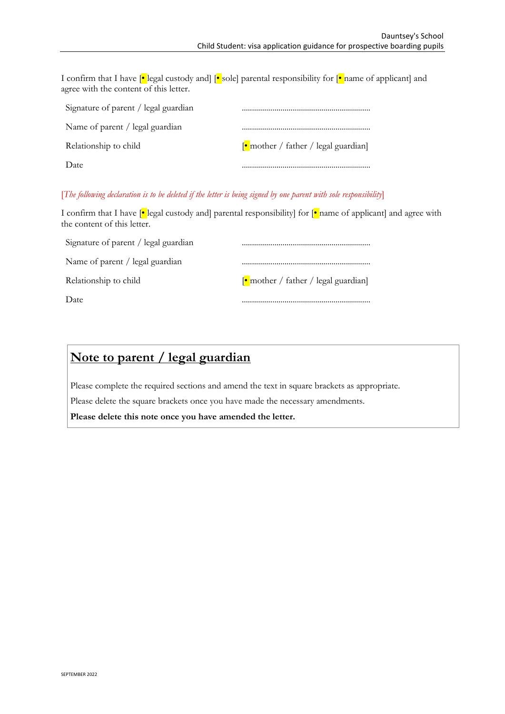I confirm that I have  $[•]$  legal custody and  $[•]$  sole] parental responsibility for  $[•]$  name of applicant] and agree with the content of this letter.

| Signature of parent / legal guardian |                                                             |
|--------------------------------------|-------------------------------------------------------------|
| Name of parent / legal guardian      |                                                             |
| Relationship to child                | $\lceil \cdot \text{mother} / \text{father} / \text{legal}$ |
| Date                                 |                                                             |

#### [*The following declaration is to be deleted if the letter is being signed by one parent with sole responsibility*]

I confirm that I have  $\left|\bullet\right|$  legal custody and] parental responsibility] for  $\left|\bullet\right|$  name of applicant] and agree with the content of this letter.

| Signature of parent / legal guardian |                                                             |
|--------------------------------------|-------------------------------------------------------------|
| Name of parent / legal guardian      |                                                             |
| Relationship to child                | $\lceil \cdot \text{mother} / \text{father} / \text{legal}$ |
| Date                                 |                                                             |

# **Note to parent / legal guardian**

Please complete the required sections and amend the text in square brackets as appropriate. Please delete the square brackets once you have made the necessary amendments.

**Please delete this note once you have amended the letter.**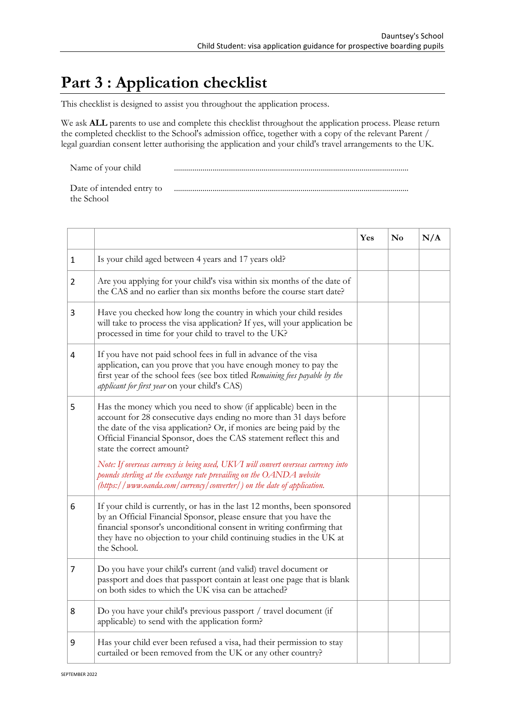# **Part 3 : Application checklist**

This checklist is designed to assist you throughout the application process.

We ask **ALL** parents to use and complete this checklist throughout the application process. Please return the completed checklist to the School's admission office, together with a copy of the relevant Parent / legal guardian consent letter authorising the application and your child's travel arrangements to the UK.

Name of your child ...................................................................................................................

| Date of intended entry to |  |
|---------------------------|--|
| the School                |  |

|                |                                                                                                                                                                                                                                                                                                                     | Yes | $\mathbf{N}\mathbf{o}$ | N/A |
|----------------|---------------------------------------------------------------------------------------------------------------------------------------------------------------------------------------------------------------------------------------------------------------------------------------------------------------------|-----|------------------------|-----|
| 1              | Is your child aged between 4 years and 17 years old?                                                                                                                                                                                                                                                                |     |                        |     |
| $\overline{2}$ | Are you applying for your child's visa within six months of the date of<br>the CAS and no earlier than six months before the course start date?                                                                                                                                                                     |     |                        |     |
| 3              | Have you checked how long the country in which your child resides<br>will take to process the visa application? If yes, will your application be<br>processed in time for your child to travel to the UK?                                                                                                           |     |                        |     |
| 4              | If you have not paid school fees in full in advance of the visa<br>application, can you prove that you have enough money to pay the<br>first year of the school fees (see box titled Remaining fees payable by the<br>applicant for first year on your child's CAS)                                                 |     |                        |     |
| 5              | Has the money which you need to show (if applicable) been in the<br>account for 28 consecutive days ending no more than 31 days before<br>the date of the visa application? Or, if monies are being paid by the<br>Official Financial Sponsor, does the CAS statement reflect this and<br>state the correct amount? |     |                        |     |
|                | Note: If overseas currency is being used, UKVI will convert overseas currency into<br>pounds sterling at the exchange rate prevailing on the OANDA website<br>$(\textit{https://www. oanda.com/currency/ converter/})$ on the date of application.                                                                  |     |                        |     |
| 6              | If your child is currently, or has in the last 12 months, been sponsored<br>by an Official Financial Sponsor, please ensure that you have the<br>financial sponsor's unconditional consent in writing confirming that<br>they have no objection to your child continuing studies in the UK at<br>the School.        |     |                        |     |
| 7              | Do you have your child's current (and valid) travel document or<br>passport and does that passport contain at least one page that is blank<br>on both sides to which the UK visa can be attached?                                                                                                                   |     |                        |     |
| 8              | Do you have your child's previous passport / travel document (if<br>applicable) to send with the application form?                                                                                                                                                                                                  |     |                        |     |
| 9              | Has your child ever been refused a visa, had their permission to stay<br>curtailed or been removed from the UK or any other country?                                                                                                                                                                                |     |                        |     |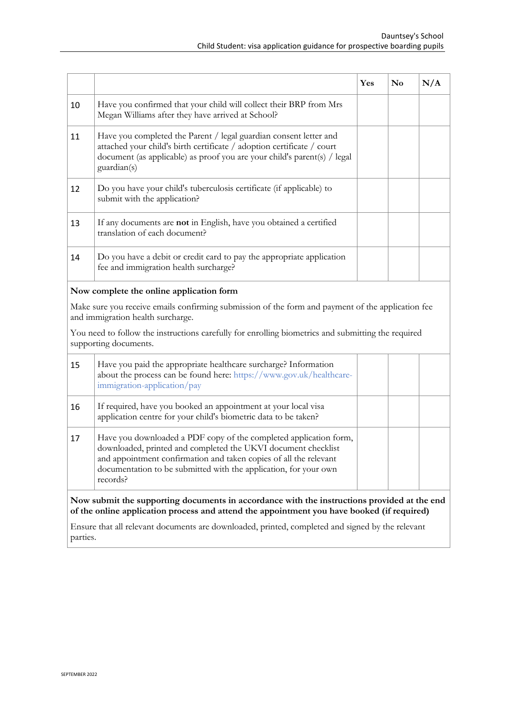|                                                                                                                                                                                           |                                                                                                                                                                                                                                                                                         | Yes | $\mathbf{N}\mathbf{o}$ | N/A |
|-------------------------------------------------------------------------------------------------------------------------------------------------------------------------------------------|-----------------------------------------------------------------------------------------------------------------------------------------------------------------------------------------------------------------------------------------------------------------------------------------|-----|------------------------|-----|
| 10                                                                                                                                                                                        | Have you confirmed that your child will collect their BRP from Mrs<br>Megan Williams after they have arrived at School?                                                                                                                                                                 |     |                        |     |
| 11                                                                                                                                                                                        | Have you completed the Parent / legal guardian consent letter and<br>attached your child's birth certificate / adoption certificate / court<br>document (as applicable) as proof you are your child's parent(s) / legal<br>guardian(s)                                                  |     |                        |     |
| 12                                                                                                                                                                                        | Do you have your child's tuberculosis certificate (if applicable) to<br>submit with the application?                                                                                                                                                                                    |     |                        |     |
| 13                                                                                                                                                                                        | If any documents are not in English, have you obtained a certified<br>translation of each document?                                                                                                                                                                                     |     |                        |     |
| 14                                                                                                                                                                                        | Do you have a debit or credit card to pay the appropriate application<br>fee and immigration health surcharge?                                                                                                                                                                          |     |                        |     |
| Now complete the online application form                                                                                                                                                  |                                                                                                                                                                                                                                                                                         |     |                        |     |
| Make sure you receive emails confirming submission of the form and payment of the application fee<br>and immigration health surcharge.                                                    |                                                                                                                                                                                                                                                                                         |     |                        |     |
| You need to follow the instructions carefully for enrolling biometrics and submitting the required<br>supporting documents.                                                               |                                                                                                                                                                                                                                                                                         |     |                        |     |
| 15                                                                                                                                                                                        | Have you paid the appropriate healthcare surcharge? Information<br>about the process can be found here: https://www.gov.uk/healthcare-<br>immigration-application/pay                                                                                                                   |     |                        |     |
| 16                                                                                                                                                                                        | If required, have you booked an appointment at your local visa<br>application centre for your child's biometric data to be taken?                                                                                                                                                       |     |                        |     |
| 17                                                                                                                                                                                        | Have you downloaded a PDF copy of the completed application form,<br>downloaded, printed and completed the UKVI document checklist<br>and appointment confirmation and taken copies of all the relevant<br>documentation to be submitted with the application, for your own<br>records? |     |                        |     |
| Now submit the supporting documents in accordance with the instructions provided at the end<br>of the online application process and attend the appointment you have booked (if required) |                                                                                                                                                                                                                                                                                         |     |                        |     |

Ensure that all relevant documents are downloaded, printed, completed and signed by the relevant parties.